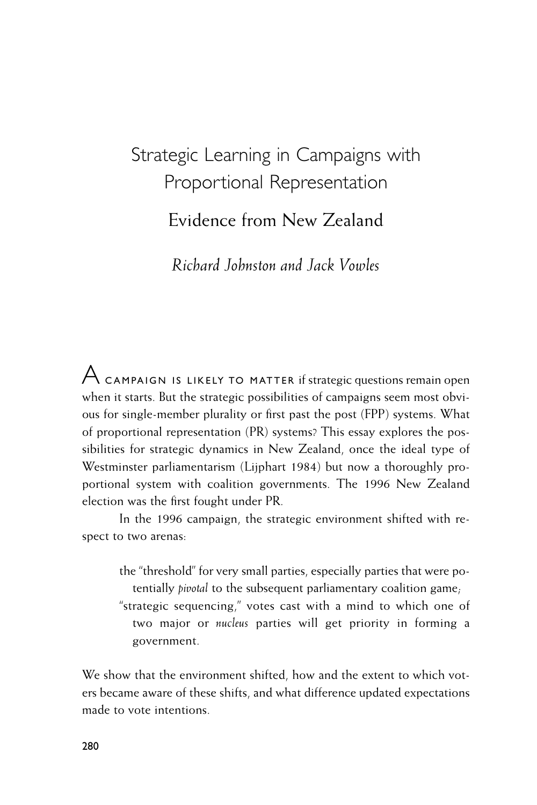# Strategic Learning in Campaigns with Proportional Representation Evidence from New Zealand

*Richard Johnston and Jack Vowles*

 $A$  CAMPAIGN IS LIKELY TO MATTER if strategic questions remain open when it starts. But the strategic possibilities of campaigns seem most obvious for single-member plurality or first past the post (FPP) systems. What of proportional representation (PR) systems? This essay explores the possibilities for strategic dynamics in New Zealand, once the ideal type of Westminster parliamentarism (Lijphart 1984) but now a thoroughly proportional system with coalition governments. The 1996 New Zealand election was the first fought under PR.

In the 1996 campaign, the strategic environment shifted with respect to two arenas:

the "threshold" for very small parties, especially parties that were potentially *pivotal* to the subsequent parliamentary coalition game; "strategic sequencing," votes cast with a mind to which one of two major or *nucleus* parties will get priority in forming a government.

We show that the environment shifted, how and the extent to which voters became aware of these shifts, and what difference updated expectations made to vote intentions.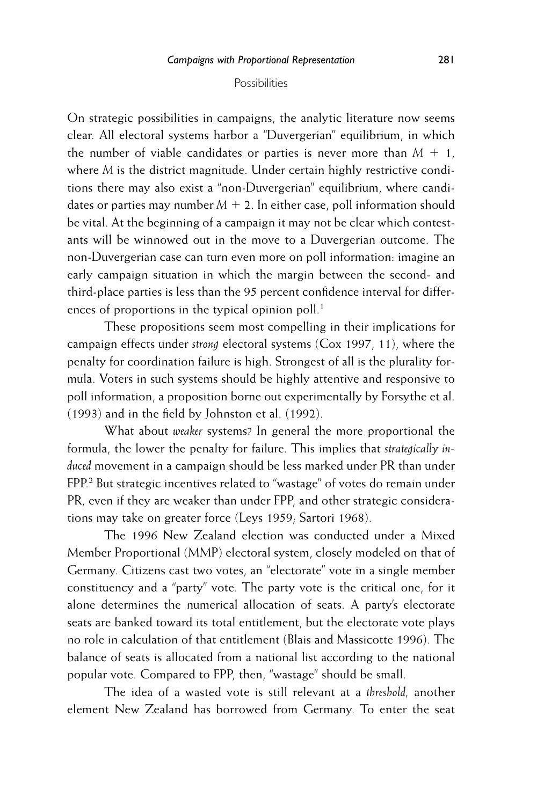#### **Possibilities**

On strategic possibilities in campaigns, the analytic literature now seems clear. All electoral systems harbor a "Duvergerian" equilibrium, in which the number of viable candidates or parties is never more than  $M + 1$ , where *M* is the district magnitude. Under certain highly restrictive conditions there may also exist a "non-Duvergerian" equilibrium, where candidates or parties may number  $M + 2$ . In either case, poll information should be vital. At the beginning of a campaign it may not be clear which contestants will be winnowed out in the move to a Duvergerian outcome. The non-Duvergerian case can turn even more on poll information: imagine an early campaign situation in which the margin between the second- and third-place parties is less than the 95 percent confidence interval for differences of proportions in the typical opinion poll.<sup>1</sup>

These propositions seem most compelling in their implications for campaign effects under *strong* electoral systems (Cox 1997, 11), where the penalty for coordination failure is high. Strongest of all is the plurality formula. Voters in such systems should be highly attentive and responsive to poll information, a proposition borne out experimentally by Forsythe et al.  $(1993)$  and in the field by Johnston et al.  $(1992)$ .

What about *weaker* systems? In general the more proportional the formula, the lower the penalty for failure. This implies that *strategically induced* movement in a campaign should be less marked under PR than under FPP.2 But strategic incentives related to "wastage" of votes do remain under PR, even if they are weaker than under FPP, and other strategic considerations may take on greater force (Leys 1959; Sartori 1968).

The 1996 New Zealand election was conducted under a Mixed Member Proportional (MMP) electoral system, closely modeled on that of Germany. Citizens cast two votes, an "electorate" vote in a single member constituency and a "party" vote. The party vote is the critical one, for it alone determines the numerical allocation of seats. A party's electorate seats are banked toward its total entitlement, but the electorate vote plays no role in calculation of that entitlement (Blais and Massicotte 1996). The balance of seats is allocated from a national list according to the national popular vote. Compared to FPP, then, "wastage" should be small.

The idea of a wasted vote is still relevant at a *threshold,* another element New Zealand has borrowed from Germany. To enter the seat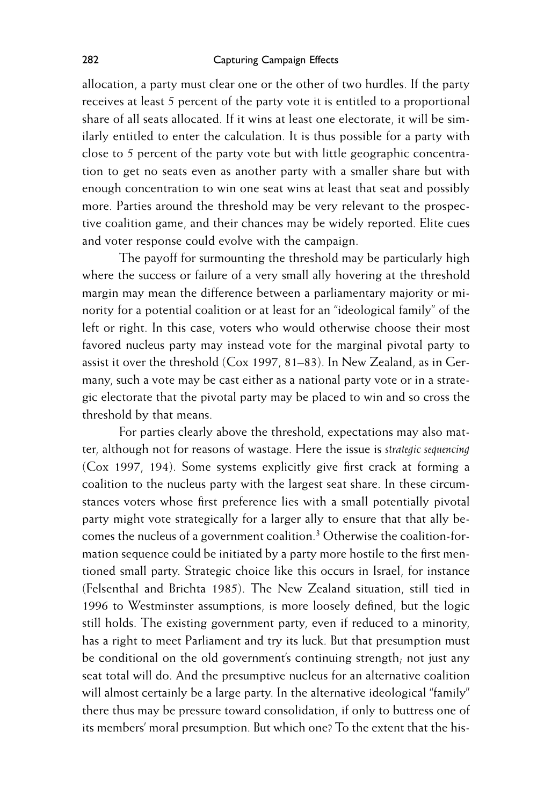### 282 Capturing Campaign Effects

allocation, a party must clear one or the other of two hurdles. If the party receives at least 5 percent of the party vote it is entitled to a proportional share of all seats allocated. If it wins at least one electorate, it will be similarly entitled to enter the calculation. It is thus possible for a party with close to 5 percent of the party vote but with little geographic concentration to get no seats even as another party with a smaller share but with enough concentration to win one seat wins at least that seat and possibly more. Parties around the threshold may be very relevant to the prospective coalition game, and their chances may be widely reported. Elite cues and voter response could evolve with the campaign.

The payoff for surmounting the threshold may be particularly high where the success or failure of a very small ally hovering at the threshold margin may mean the difference between a parliamentary majority or minority for a potential coalition or at least for an "ideological family" of the left or right. In this case, voters who would otherwise choose their most favored nucleus party may instead vote for the marginal pivotal party to assist it over the threshold (Cox 1997, 81–83). In New Zealand, as in Germany, such a vote may be cast either as a national party vote or in a strategic electorate that the pivotal party may be placed to win and so cross the threshold by that means.

For parties clearly above the threshold, expectations may also matter, although not for reasons of wastage. Here the issue is *strategic sequencing*  $(Cox 1997, 194)$ . Some systems explicitly give first crack at forming a coalition to the nucleus party with the largest seat share. In these circumstances voters whose first preference lies with a small potentially pivotal party might vote strategically for a larger ally to ensure that that ally becomes the nucleus of a government coalition.3 Otherwise the coalition-formation sequence could be initiated by a party more hostile to the first mentioned small party. Strategic choice like this occurs in Israel, for instance (Felsenthal and Brichta 1985). The New Zealand situation, still tied in 1996 to Westminster assumptions, is more loosely defined, but the logic still holds. The existing government party, even if reduced to a minority, has a right to meet Parliament and try its luck. But that presumption must be conditional on the old government's continuing strength; not just any seat total will do. And the presumptive nucleus for an alternative coalition will almost certainly be a large party. In the alternative ideological "family" there thus may be pressure toward consolidation, if only to buttress one of its members' moral presumption. But which one? To the extent that the his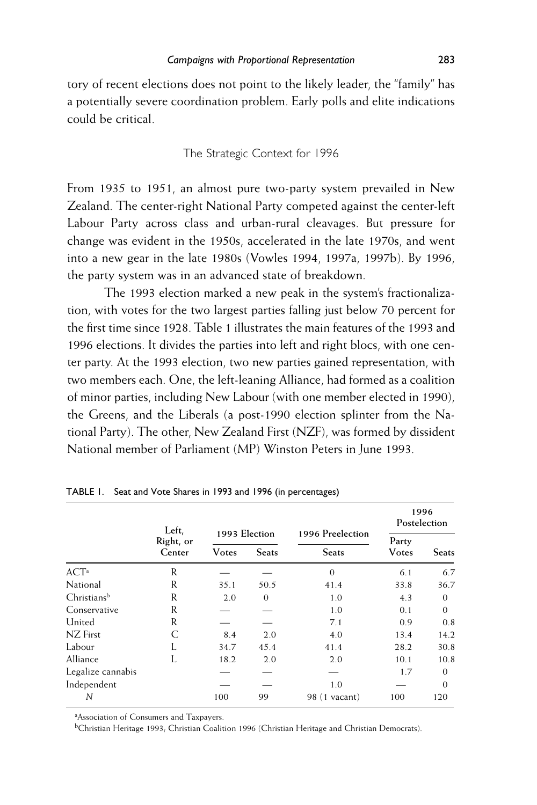tory of recent elections does not point to the likely leader, the "family" has a potentially severe coordination problem. Early polls and elite indications could be critical.

The Strategic Context for 1996

From 1935 to 1951, an almost pure two-party system prevailed in New Zealand. The center-right National Party competed against the center-left Labour Party across class and urban-rural cleavages. But pressure for change was evident in the 1950s, accelerated in the late 1970s, and went into a new gear in the late 1980s (Vowles 1994, 1997a, 1997b). By 1996, the party system was in an advanced state of breakdown.

The 1993 election marked a new peak in the system's fractionalization, with votes for the two largest parties falling just below 70 percent for the first time since 1928. Table 1 illustrates the main features of the 1993 and 1996 elections. It divides the parties into left and right blocs, with one center party. At the 1993 election, two new parties gained representation, with two members each. One, the left-leaning Alliance, had formed as a coalition of minor parties, including New Labour (with one member elected in 1990), the Greens, and the Liberals (a post-1990 election splinter from the National Party). The other, New Zealand First (NZF), was formed by dissident National member of Parliament (MP) Winston Peters in June 1993.

|                   | Left,<br>Right, or<br>Center |                        |              |                                  | 1996<br>Postelection |              |
|-------------------|------------------------------|------------------------|--------------|----------------------------------|----------------------|--------------|
|                   |                              | 1993 Election<br>Votes | <b>Seats</b> | 1996 Preelection<br><b>Seats</b> | Party<br>Votes       | <b>Seats</b> |
| $ACT^a$           | R                            |                        |              | $\Omega$                         | 6.1                  | 6.7          |
| National          | R                            | 35.1                   | 50.5         | 41.4                             | 33.8                 | 36.7         |
| Christiansb       | R                            | 2.0                    | $\mathbf{0}$ | 1.0                              | 4.3                  | $\mathbf{0}$ |
| Conservative      | R                            |                        |              | 1.0                              | 0.1                  | $\Omega$     |
| United            | R                            |                        |              | 7.1                              | 0.9                  | 0.8          |
| NZ First          | C                            | 8.4                    | 2.0          | 4.0                              | 13.4                 | 14.2         |
| Labour            |                              | 34.7                   | 45.4         | 41.4                             | 28.2                 | 30.8         |
| Alliance          |                              | 18.2                   | 2.0          | 2.0                              | 10.1                 | 10.8         |
| Legalize cannabis |                              |                        |              |                                  | 1.7                  | $\mathbf{0}$ |
| Independent       |                              |                        |              | 1.0                              |                      | $\Omega$     |
| N                 |                              | 100                    | 99           | 98 (1 vacant)                    | 100                  | 120          |

TABLE 1. Seat and Vote Shares in 1993 and 1996 (in percentages)

a Association of Consumers and Taxpayers.

bChristian Heritage 1993; Christian Coalition 1996 (Christian Heritage and Christian Democrats).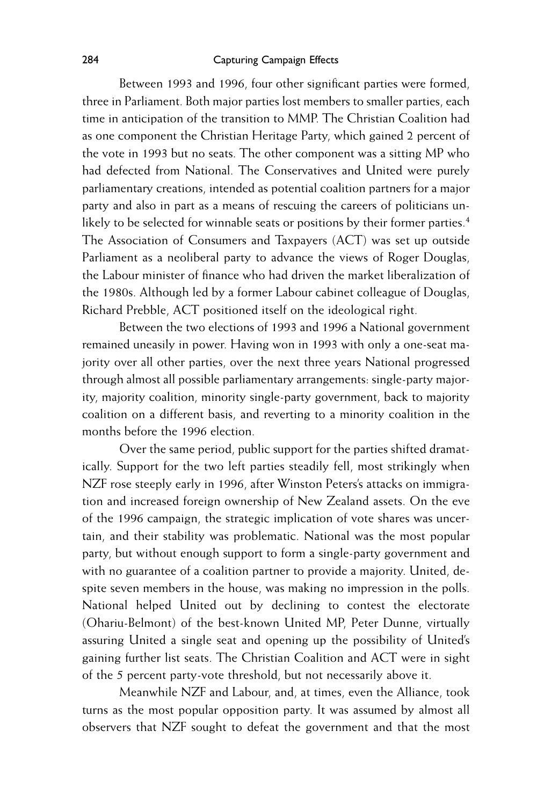#### 284 Capturing Campaign Effects

Between 1993 and 1996, four other significant parties were formed, three in Parliament. Both major parties lost members to smaller parties, each time in anticipation of the transition to MMP. The Christian Coalition had as one component the Christian Heritage Party, which gained 2 percent of the vote in 1993 but no seats. The other component was a sitting MP who had defected from National. The Conservatives and United were purely parliamentary creations, intended as potential coalition partners for a major party and also in part as a means of rescuing the careers of politicians unlikely to be selected for winnable seats or positions by their former parties.<sup>4</sup> The Association of Consumers and Taxpayers (ACT) was set up outside Parliament as a neoliberal party to advance the views of Roger Douglas, the Labour minister of finance who had driven the market liberalization of the 1980s. Although led by a former Labour cabinet colleague of Douglas, Richard Prebble, ACT positioned itself on the ideological right.

Between the two elections of 1993 and 1996 a National government remained uneasily in power. Having won in 1993 with only a one-seat majority over all other parties, over the next three years National progressed through almost all possible parliamentary arrangements: single-party majority, majority coalition, minority single-party government, back to majority coalition on a different basis, and reverting to a minority coalition in the months before the 1996 election.

Over the same period, public support for the parties shifted dramatically. Support for the two left parties steadily fell, most strikingly when NZF rose steeply early in 1996, after Winston Peters's attacks on immigration and increased foreign ownership of New Zealand assets. On the eve of the 1996 campaign, the strategic implication of vote shares was uncertain, and their stability was problematic. National was the most popular party, but without enough support to form a single-party government and with no guarantee of a coalition partner to provide a majority. United, despite seven members in the house, was making no impression in the polls. National helped United out by declining to contest the electorate (Ohariu-Belmont) of the best-known United MP, Peter Dunne, virtually assuring United a single seat and opening up the possibility of United's gaining further list seats. The Christian Coalition and ACT were in sight of the 5 percent party-vote threshold, but not necessarily above it.

Meanwhile NZF and Labour, and, at times, even the Alliance, took turns as the most popular opposition party. It was assumed by almost all observers that NZF sought to defeat the government and that the most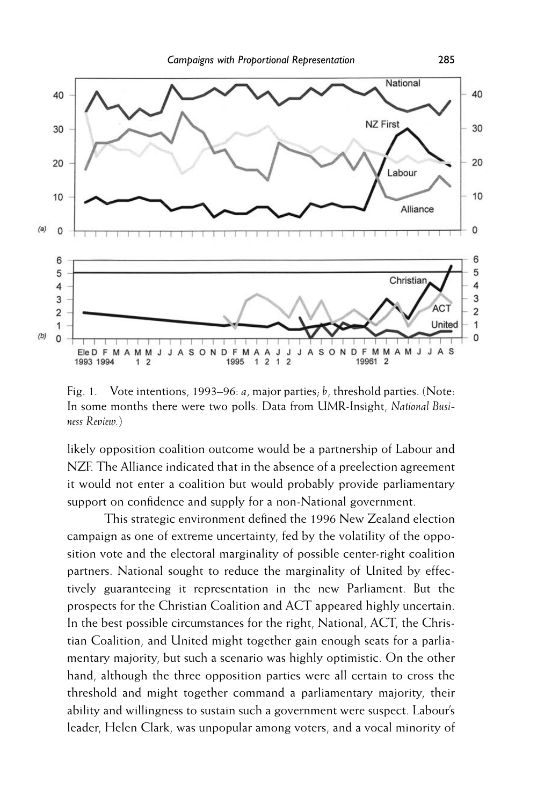

Fig. 1. Vote intentions, 1993–96: *a*, major parties; *b*, threshold parties. (Note: In some months there were two polls. Data from UMR-Insight, *National Business Review.*)

likely opposition coalition outcome would be a partnership of Labour and NZF. The Alliance indicated that in the absence of a preelection agreement it would not enter a coalition but would probably provide parliamentary support on confidence and supply for a non-National government.

This strategic environment defined the 1996 New Zealand election campaign as one of extreme uncertainty, fed by the volatility of the opposition vote and the electoral marginality of possible center-right coalition partners. National sought to reduce the marginality of United by effectively guaranteeing it representation in the new Parliament. But the prospects for the Christian Coalition and ACT appeared highly uncertain. In the best possible circumstances for the right, National, ACT, the Christian Coalition, and United might together gain enough seats for a parliamentary majority, but such a scenario was highly optimistic. On the other hand, although the three opposition parties were all certain to cross the threshold and might together command a parliamentary majority, their ability and willingness to sustain such a government were suspect. Labour's leader, Helen Clark, was unpopular among voters, and a vocal minority of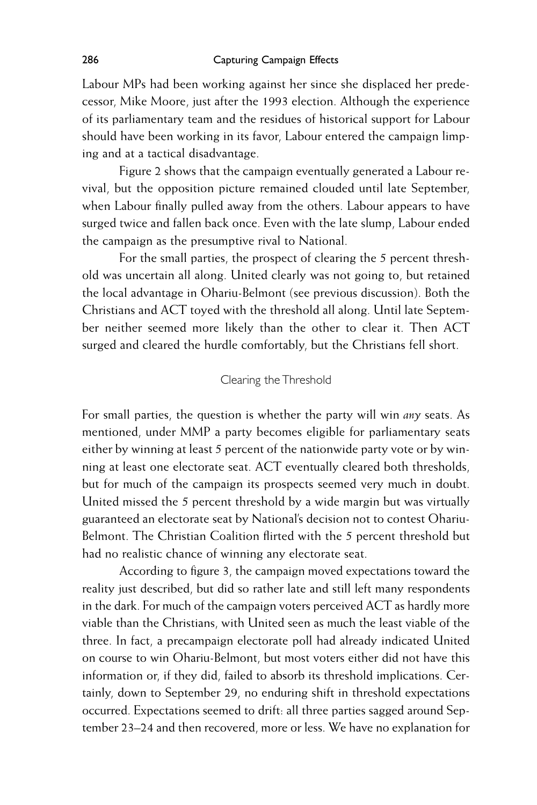Labour MPs had been working against her since she displaced her predecessor, Mike Moore, just after the 1993 election. Although the experience of its parliamentary team and the residues of historical support for Labour should have been working in its favor, Labour entered the campaign limping and at a tactical disadvantage.

Figure 2 shows that the campaign eventually generated a Labour revival, but the opposition picture remained clouded until late September, when Labour finally pulled away from the others. Labour appears to have surged twice and fallen back once. Even with the late slump, Labour ended the campaign as the presumptive rival to National.

For the small parties, the prospect of clearing the 5 percent threshold was uncertain all along. United clearly was not going to, but retained the local advantage in Ohariu-Belmont (see previous discussion). Both the Christians and ACT toyed with the threshold all along. Until late September neither seemed more likely than the other to clear it. Then ACT surged and cleared the hurdle comfortably, but the Christians fell short.

## Clearing the Threshold

For small parties, the question is whether the party will win *any* seats. As mentioned, under MMP a party becomes eligible for parliamentary seats either by winning at least 5 percent of the nationwide party vote or by winning at least one electorate seat. ACT eventually cleared both thresholds, but for much of the campaign its prospects seemed very much in doubt. United missed the 5 percent threshold by a wide margin but was virtually guaranteed an electorate seat by National's decision not to contest Ohariu-Belmont. The Christian Coalition flirted with the 5 percent threshold but had no realistic chance of winning any electorate seat.

According to figure 3, the campaign moved expectations toward the reality just described, but did so rather late and still left many respondents in the dark. For much of the campaign voters perceived ACT as hardly more viable than the Christians, with United seen as much the least viable of the three. In fact, a precampaign electorate poll had already indicated United on course to win Ohariu-Belmont, but most voters either did not have this information or, if they did, failed to absorb its threshold implications. Certainly, down to September 29, no enduring shift in threshold expectations occurred. Expectations seemed to drift: all three parties sagged around September 23–24 and then recovered, more or less. We have no explanation for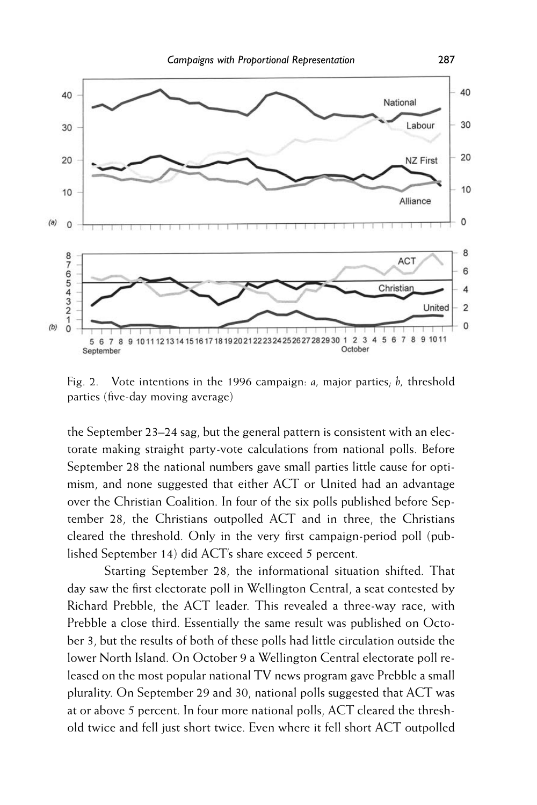

Fig. 2. Vote intentions in the 1996 campaign: *a,* major parties; *b,* threshold parties (five-day moving average)

the September 23–24 sag, but the general pattern is consistent with an electorate making straight party-vote calculations from national polls. Before September 28 the national numbers gave small parties little cause for optimism, and none suggested that either ACT or United had an advantage over the Christian Coalition. In four of the six polls published before September 28, the Christians outpolled ACT and in three, the Christians cleared the threshold. Only in the very first campaign-period poll (published September 14) did ACT's share exceed 5 percent.

Starting September 28, the informational situation shifted. That day saw the first electorate poll in Wellington Central, a seat contested by Richard Prebble, the ACT leader. This revealed a three-way race, with Prebble a close third. Essentially the same result was published on October 3, but the results of both of these polls had little circulation outside the lower North Island. On October 9 a Wellington Central electorate poll released on the most popular national TV news program gave Prebble a small plurality. On September 29 and 30, national polls suggested that ACT was at or above 5 percent. In four more national polls, ACT cleared the threshold twice and fell just short twice. Even where it fell short ACT outpolled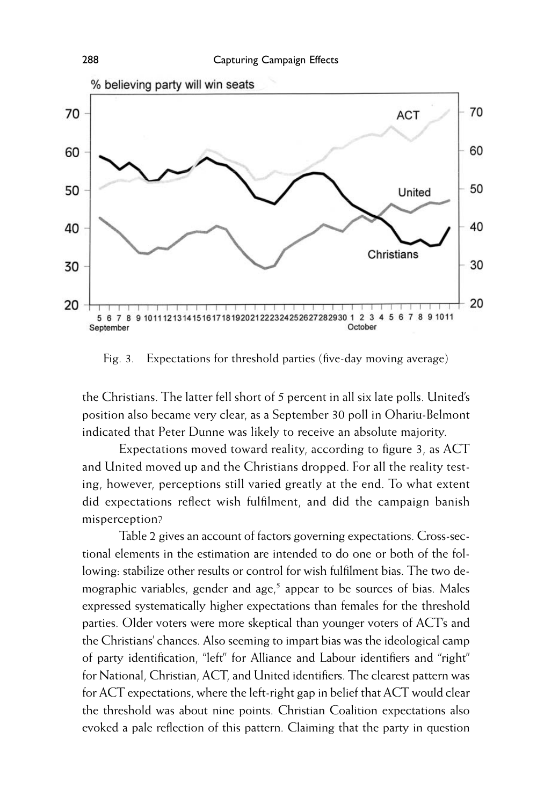

Fig. 3. Expectations for threshold parties (five-day moving average)

the Christians. The latter fell short of 5 percent in all six late polls. United's position also became very clear, as a September 30 poll in Ohariu-Belmont indicated that Peter Dunne was likely to receive an absolute majority.

Expectations moved toward reality, according to figure 3, as ACT and United moved up and the Christians dropped. For all the reality testing, however, perceptions still varied greatly at the end. To what extent did expectations reflect wish fulfilment, and did the campaign banish misperception?

Table 2 gives an account of factors governing expectations. Cross-sectional elements in the estimation are intended to do one or both of the following: stabilize other results or control for wish fulfilment bias. The two demographic variables, gender and age,<sup>5</sup> appear to be sources of bias. Males expressed systematically higher expectations than females for the threshold parties. Older voters were more skeptical than younger voters of ACT's and the Christians' chances. Also seeming to impart bias was the ideological camp of party identification, "left" for Alliance and Labour identifiers and "right" for National, Christian, ACT, and United identifiers. The clearest pattern was for ACT expectations, where the left-right gap in belief that ACT would clear the threshold was about nine points. Christian Coalition expectations also evoked a pale reflection of this pattern. Claiming that the party in question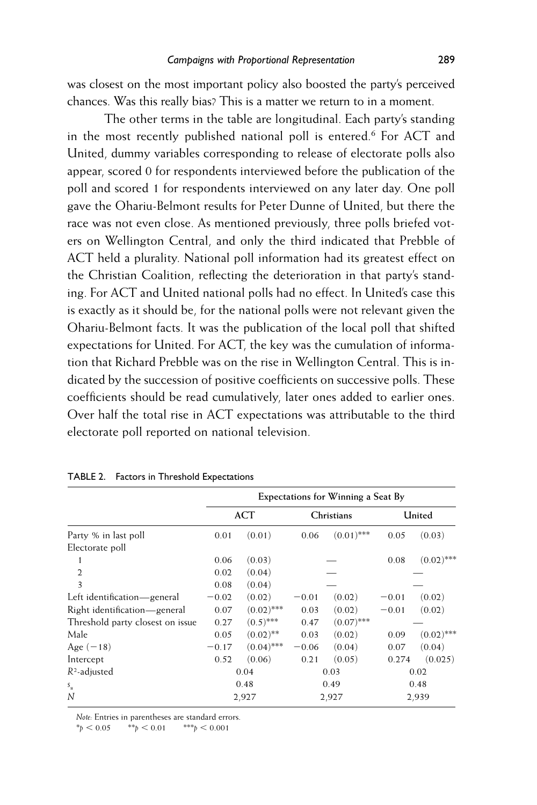was closest on the most important policy also boosted the party's perceived chances. Was this really bias? This is a matter we return to in a moment.

The other terms in the table are longitudinal. Each party's standing in the most recently published national poll is entered.<sup>6</sup> For ACT and United, dummy variables corresponding to release of electorate polls also appear, scored 0 for respondents interviewed before the publication of the poll and scored 1 for respondents interviewed on any later day. One poll gave the Ohariu-Belmont results for Peter Dunne of United, but there the race was not even close. As mentioned previously, three polls briefed voters on Wellington Central, and only the third indicated that Prebble of ACT held a plurality. National poll information had its greatest effect on the Christian Coalition, reflecting the deterioration in that party's standing. For ACT and United national polls had no effect. In United's case this is exactly as it should be, for the national polls were not relevant given the Ohariu-Belmont facts. It was the publication of the local poll that shifted expectations for United. For ACT, the key was the cumulation of information that Richard Prebble was on the rise in Wellington Central. This is indicated by the succession of positive coefficients on successive polls. These coefficients should be read cumulatively, later ones added to earlier ones. Over half the total rise in ACT expectations was attributable to the third electorate poll reported on national television.

|                                  | Expectations for Winning a Seat By |              |            |              |         |              |  |
|----------------------------------|------------------------------------|--------------|------------|--------------|---------|--------------|--|
|                                  | <b>ACT</b>                         |              | Christians |              | United  |              |  |
| Party % in last poll             | 0.01                               | (0.01)       | 0.06       | $(0.01)$ *** | 0.05    | (0.03)       |  |
| Electorate poll                  |                                    |              |            |              |         |              |  |
|                                  | 0.06                               | (0.03)       |            |              | 0.08    | $(0.02)$ *** |  |
| $\overline{2}$                   | 0.02                               | (0.04)       |            |              |         |              |  |
| 3                                | 0.08                               | (0.04)       |            |              |         |              |  |
| Left identification-general      | $-0.02$                            | (0.02)       | $-0.01$    | (0.02)       | $-0.01$ | (0.02)       |  |
| Right identification—general     | 0.07                               | $(0.02)$ *** | 0.03       | (0.02)       | $-0.01$ | (0.02)       |  |
| Threshold party closest on issue | 0.27                               | $(0.5)$ ***  | 0.47       | $(0.07)$ *** |         |              |  |
| Male                             | 0.05                               | $(0.02)$ **  | 0.03       | (0.02)       | 0.09    | $(0.02)$ *** |  |
| Age $(-18)$                      | $-0.17$                            | $(0.04)$ *** | $-0.06$    | (0.04)       | 0.07    | (0.04)       |  |
| Intercept                        | 0.52                               | (0.06)       | 0.21       | (0.05)       | 0.274   | (0.025)      |  |
| $R^2$ -adjusted                  | 0.04                               |              | 0.03       |              | 0.02    |              |  |
| $S_u$                            | 0.48                               |              | 0.49       |              | 0.48    |              |  |
| N                                | 2,927                              |              | 2,927      |              | 2,939   |              |  |

TABLE 2. Factors in Threshold Expectations

*Note:* Entries in parentheses are standard errors.

 $*_{b} < 0.05$   $*_{b} < 0.01$   $*_{b} < 0.001$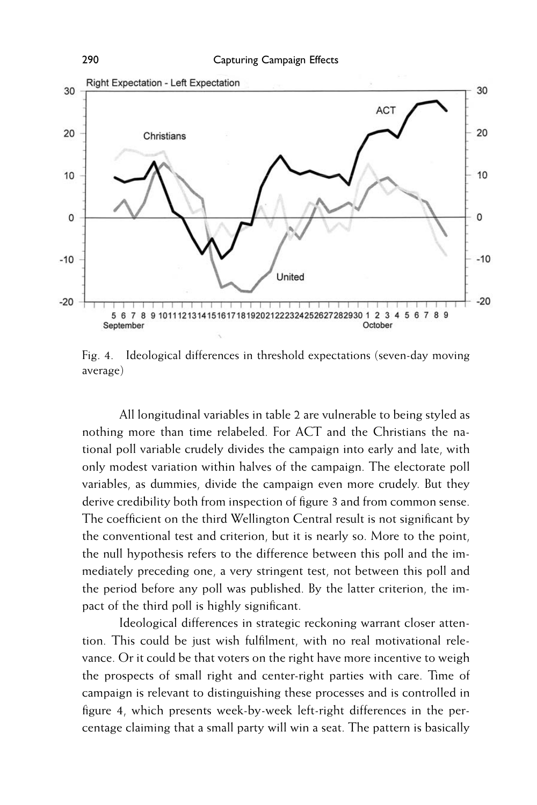

Fig. 4. Ideological differences in threshold expectations (seven-day moving average)

All longitudinal variables in table 2 are vulnerable to being styled as nothing more than time relabeled. For ACT and the Christians the national poll variable crudely divides the campaign into early and late, with only modest variation within halves of the campaign. The electorate poll variables, as dummies, divide the campaign even more crudely. But they derive credibility both from inspection of figure 3 and from common sense. The coefficient on the third Wellington Central result is not significant by the conventional test and criterion, but it is nearly so. More to the point, the null hypothesis refers to the difference between this poll and the immediately preceding one, a very stringent test, not between this poll and the period before any poll was published. By the latter criterion, the impact of the third poll is highly significant.

Ideological differences in strategic reckoning warrant closer attention. This could be just wish fulfilment, with no real motivational relevance. Or it could be that voters on the right have more incentive to weigh the prospects of small right and center-right parties with care. Time of campaign is relevant to distinguishing these processes and is controlled in figure 4, which presents week-by-week left-right differences in the percentage claiming that a small party will win a seat. The pattern is basically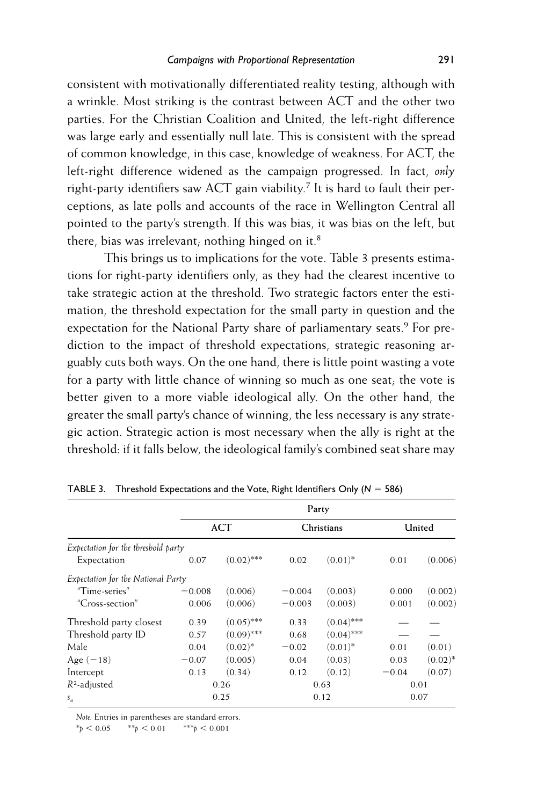consistent with motivationally differentiated reality testing, although with a wrinkle. Most striking is the contrast between ACT and the other two parties. For the Christian Coalition and United, the left-right difference was large early and essentially null late. This is consistent with the spread of common knowledge, in this case, knowledge of weakness. For ACT, the left-right difference widened as the campaign progressed. In fact, *only* right-party identifiers saw ACT gain viability.<sup>7</sup> It is hard to fault their perceptions, as late polls and accounts of the race in Wellington Central all pointed to the party's strength. If this was bias, it was bias on the left, but there, bias was irrelevant; nothing hinged on it. $8$ 

This brings us to implications for the vote. Table 3 presents estimations for right-party identifiers only, as they had the clearest incentive to take strategic action at the threshold. Two strategic factors enter the estimation, the threshold expectation for the small party in question and the expectation for the National Party share of parliamentary seats.<sup>9</sup> For prediction to the impact of threshold expectations, strategic reasoning arguably cuts both ways. On the one hand, there is little point wasting a vote for a party with little chance of winning so much as one seat; the vote is better given to a more viable ideological ally. On the other hand, the greater the small party's chance of winning, the less necessary is any strategic action. Strategic action is most necessary when the ally is right at the threshold: if it falls below, the ideological family's combined seat share may

|                                     | Party      |              |            |              |         |            |  |  |  |
|-------------------------------------|------------|--------------|------------|--------------|---------|------------|--|--|--|
|                                     | <b>ACT</b> |              | Christians |              | United  |            |  |  |  |
| Expectation for the threshold party |            |              |            |              |         |            |  |  |  |
| Expectation                         | 0.07       | $(0.02)$ *** | 0.02       | $(0.01)^*$   | 0.01    | (0.006)    |  |  |  |
| Expectation for the National Party  |            |              |            |              |         |            |  |  |  |
| "Time-series"                       | $-0.008$   | (0.006)      | $-0.004$   | (0.003)      | 0.000   | (0.002)    |  |  |  |
| "Cross-section"                     | 0.006      | (0.006)      | $-0.003$   | (0.003)      | 0.001   | (0.002)    |  |  |  |
| Threshold party closest             | 0.39       | $(0.05)$ *** | 0.33       | $(0.04)$ *** |         |            |  |  |  |
| Threshold party ID                  | 0.57       | $(0.09)$ *** | 0.68       | $(0.04)$ *** |         |            |  |  |  |
| Male                                | 0.04       | $(0.02)^*$   | $-0.02$    | $(0.01)^*$   | 0.01    | (0.01)     |  |  |  |
| Age $(-18)$                         | $-0.07$    | (0.005)      | 0.04       | (0.03)       | 0.03    | $(0.02)^*$ |  |  |  |
| Intercept                           | 0.13       | (0.34)       | 0.12       | (0.12)       | $-0.04$ | (0.07)     |  |  |  |
| $R^2$ -adjusted                     | 0.26       |              | 0.63       |              | 0.01    |            |  |  |  |
| $S_u$                               | 0.25       |              | 0.12       |              | 0.07    |            |  |  |  |

TABLE 3. Threshold Expectations and the Vote, Right Identifiers Only  $(N = 586)$ 

*Note:* Entries in parentheses are standard errors.

 $*_{p}$  < 0.05  $*_{p}$  < 0.01  $*_{p}$  < 0.001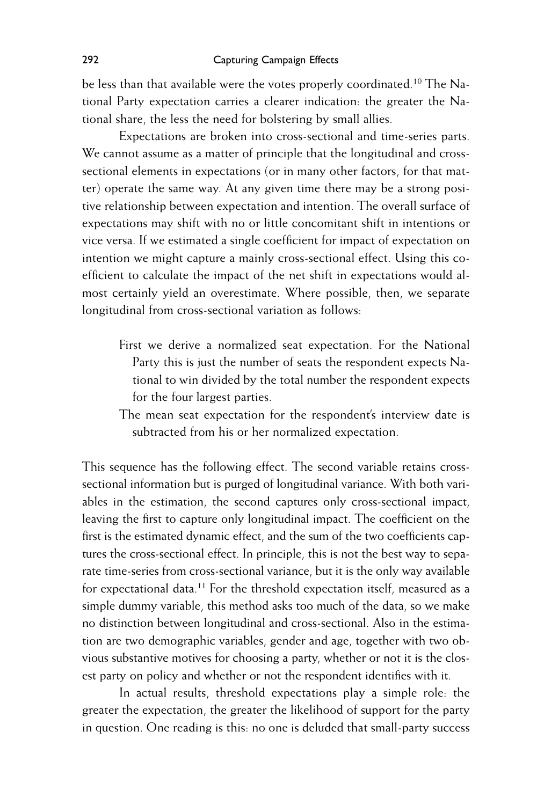be less than that available were the votes properly coordinated.<sup>10</sup> The National Party expectation carries a clearer indication: the greater the National share, the less the need for bolstering by small allies.

Expectations are broken into cross-sectional and time-series parts. We cannot assume as a matter of principle that the longitudinal and crosssectional elements in expectations (or in many other factors, for that matter) operate the same way. At any given time there may be a strong positive relationship between expectation and intention. The overall surface of expectations may shift with no or little concomitant shift in intentions or vice versa. If we estimated a single coefficient for impact of expectation on intention we might capture a mainly cross-sectional effect. Using this coefficient to calculate the impact of the net shift in expectations would almost certainly yield an overestimate. Where possible, then, we separate longitudinal from cross-sectional variation as follows:

First we derive a normalized seat expectation. For the National Party this is just the number of seats the respondent expects National to win divided by the total number the respondent expects for the four largest parties.

The mean seat expectation for the respondent's interview date is subtracted from his or her normalized expectation.

This sequence has the following effect. The second variable retains crosssectional information but is purged of longitudinal variance. With both variables in the estimation, the second captures only cross-sectional impact, leaving the first to capture only longitudinal impact. The coefficient on the first is the estimated dynamic effect, and the sum of the two coefficients captures the cross-sectional effect. In principle, this is not the best way to separate time-series from cross-sectional variance, but it is the only way available for expectational data.<sup>11</sup> For the threshold expectation itself, measured as a simple dummy variable, this method asks too much of the data, so we make no distinction between longitudinal and cross-sectional. Also in the estimation are two demographic variables, gender and age, together with two obvious substantive motives for choosing a party, whether or not it is the closest party on policy and whether or not the respondent identifies with it.

In actual results, threshold expectations play a simple role: the greater the expectation, the greater the likelihood of support for the party in question. One reading is this: no one is deluded that small-party success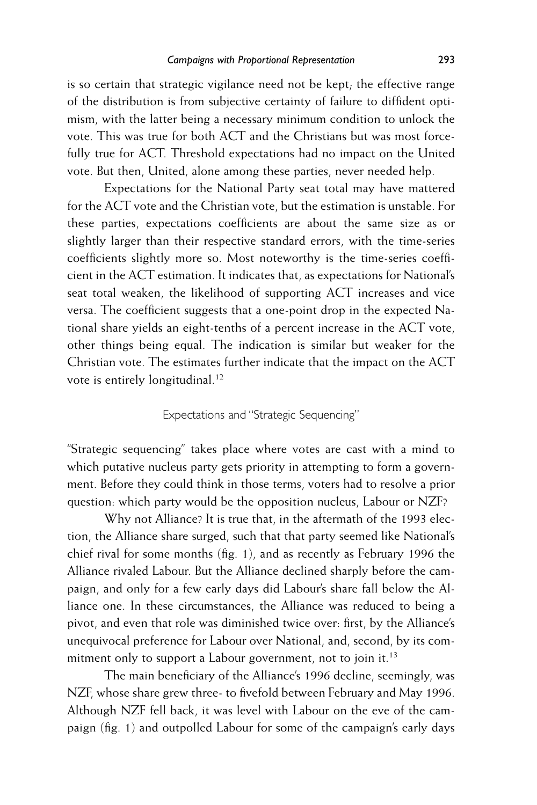is so certain that strategic vigilance need not be kept; the effective range of the distribution is from subjective certainty of failure to diffident optimism, with the latter being a necessary minimum condition to unlock the vote. This was true for both ACT and the Christians but was most forcefully true for ACT. Threshold expectations had no impact on the United vote. But then, United, alone among these parties, never needed help.

Expectations for the National Party seat total may have mattered for the ACT vote and the Christian vote, but the estimation is unstable. For these parties, expectations coefficients are about the same size as or slightly larger than their respective standard errors, with the time-series coefficients slightly more so. Most noteworthy is the time-series coefficient in the ACT estimation. It indicates that, as expectations for National's seat total weaken, the likelihood of supporting ACT increases and vice versa. The coefficient suggests that a one-point drop in the expected National share yields an eight-tenths of a percent increase in the ACT vote, other things being equal. The indication is similar but weaker for the Christian vote. The estimates further indicate that the impact on the ACT vote is entirely longitudinal.<sup>12</sup>

Expectations and "Strategic Sequencing"

"Strategic sequencing" takes place where votes are cast with a mind to which putative nucleus party gets priority in attempting to form a government. Before they could think in those terms, voters had to resolve a prior question: which party would be the opposition nucleus, Labour or NZF?

Why not Alliance? It is true that, in the aftermath of the 1993 election, the Alliance share surged, such that that party seemed like National's chief rival for some months (fig.  $1$ ), and as recently as February 1996 the Alliance rivaled Labour. But the Alliance declined sharply before the campaign, and only for a few early days did Labour's share fall below the Alliance one. In these circumstances, the Alliance was reduced to being a pivot, and even that role was diminished twice over: first, by the Alliance's unequivocal preference for Labour over National, and, second, by its commitment only to support a Labour government, not to join it.<sup>13</sup>

The main beneficiary of the Alliance's 1996 decline, seemingly, was NZF, whose share grew three- to fivefold between February and May 1996. Although NZF fell back, it was level with Labour on the eve of the campaign (fig. 1) and outpolled Labour for some of the campaign's early days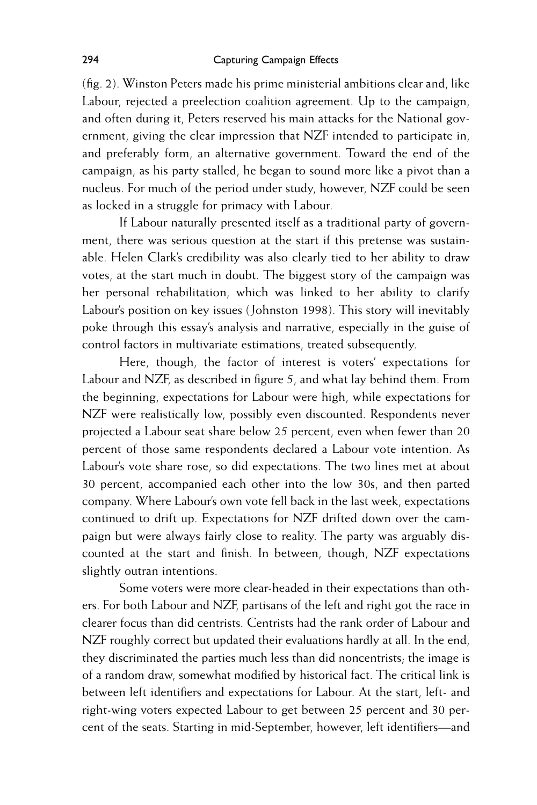$(f_1, g_2)$ . Winston Peters made his prime ministerial ambitions clear and, like Labour, rejected a preelection coalition agreement. Up to the campaign, and often during it, Peters reserved his main attacks for the National government, giving the clear impression that NZF intended to participate in, and preferably form, an alternative government. Toward the end of the campaign, as his party stalled, he began to sound more like a pivot than a nucleus. For much of the period under study, however, NZF could be seen as locked in a struggle for primacy with Labour.

If Labour naturally presented itself as a traditional party of government, there was serious question at the start if this pretense was sustainable. Helen Clark's credibility was also clearly tied to her ability to draw votes, at the start much in doubt. The biggest story of the campaign was her personal rehabilitation, which was linked to her ability to clarify Labour's position on key issues (Johnston 1998). This story will inevitably poke through this essay's analysis and narrative, especially in the guise of control factors in multivariate estimations, treated subsequently.

Here, though, the factor of interest is voters' expectations for Labour and NZF, as described in figure  $5$ , and what lay behind them. From the beginning, expectations for Labour were high, while expectations for NZF were realistically low, possibly even discounted. Respondents never projected a Labour seat share below 25 percent, even when fewer than 20 percent of those same respondents declared a Labour vote intention. As Labour's vote share rose, so did expectations. The two lines met at about 30 percent, accompanied each other into the low 30s, and then parted company. Where Labour's own vote fell back in the last week, expectations continued to drift up. Expectations for NZF drifted down over the campaign but were always fairly close to reality. The party was arguably discounted at the start and finish. In between, though, NZF expectations slightly outran intentions.

Some voters were more clear-headed in their expectations than others. For both Labour and NZF, partisans of the left and right got the race in clearer focus than did centrists. Centrists had the rank order of Labour and NZF roughly correct but updated their evaluations hardly at all. In the end, they discriminated the parties much less than did noncentrists; the image is of a random draw, somewhat modified by historical fact. The critical link is between left identifiers and expectations for Labour. At the start, left- and right-wing voters expected Labour to get between 25 percent and 30 percent of the seats. Starting in mid-September, however, left identifiers—and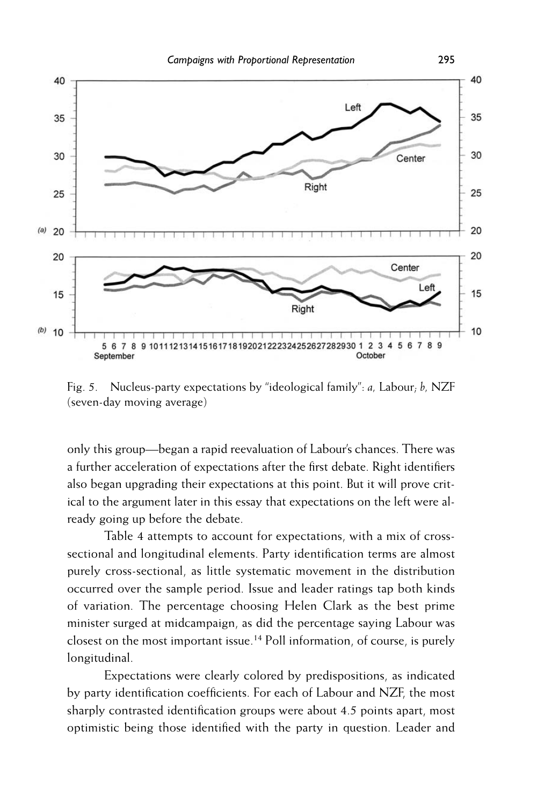

Fig. 5. Nucleus-party expectations by "ideological family": *a,* Labour; *b,* NZF (seven-day moving average)

only this group—began a rapid reevaluation of Labour's chances. There was a further acceleration of expectations after the first debate. Right identifiers also began upgrading their expectations at this point. But it will prove critical to the argument later in this essay that expectations on the left were already going up before the debate.

Table 4 attempts to account for expectations, with a mix of crosssectional and longitudinal elements. Party identification terms are almost purely cross-sectional, as little systematic movement in the distribution occurred over the sample period. Issue and leader ratings tap both kinds of variation. The percentage choosing Helen Clark as the best prime minister surged at midcampaign, as did the percentage saying Labour was closest on the most important issue.14 Poll information, of course, is purely longitudinal.

Expectations were clearly colored by predispositions, as indicated by party identification coefficients. For each of Labour and NZF, the most sharply contrasted identification groups were about 4.5 points apart, most optimistic being those identified with the party in question. Leader and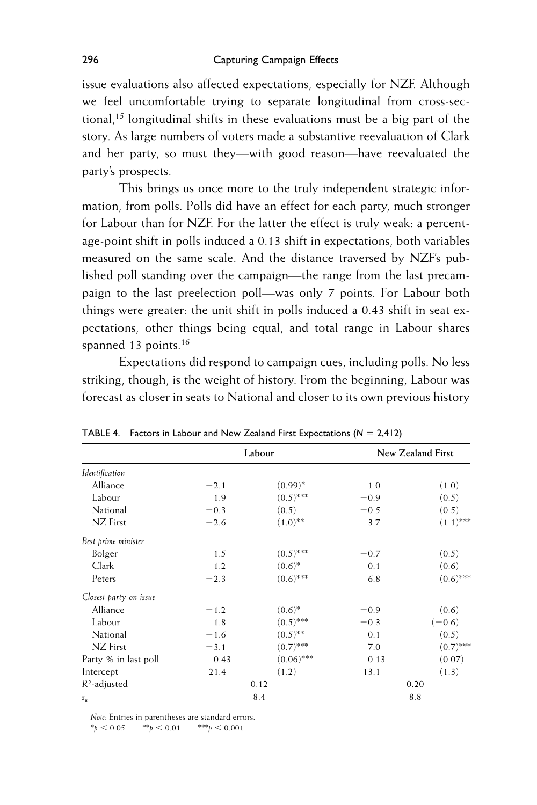issue evaluations also affected expectations, especially for NZF. Although we feel uncomfortable trying to separate longitudinal from cross-sectional,15 longitudinal shifts in these evaluations must be a big part of the story. As large numbers of voters made a substantive reevaluation of Clark and her party, so must they—with good reason—have reevaluated the party's prospects.

This brings us once more to the truly independent strategic information, from polls. Polls did have an effect for each party, much stronger for Labour than for NZF. For the latter the effect is truly weak: a percentage-point shift in polls induced a 0.13 shift in expectations, both variables measured on the same scale. And the distance traversed by NZF's published poll standing over the campaign—the range from the last precampaign to the last preelection poll—was only 7 points. For Labour both things were greater: the unit shift in polls induced a 0.43 shift in seat expectations, other things being equal, and total range in Labour shares spanned 13 points.<sup>16</sup>

Expectations did respond to campaign cues, including polls. No less striking, though, is the weight of history. From the beginning, Labour was forecast as closer in seats to National and closer to its own previous history

|                        |        | Labour       | New Zealand First |             |  |
|------------------------|--------|--------------|-------------------|-------------|--|
| Identification         |        |              |                   |             |  |
| Alliance               | $-2.1$ | $(0.99)^*$   | 1.0               | (1.0)       |  |
| Labour                 | 1.9    | $(0.5)$ ***  | $-0.9$            | (0.5)       |  |
| National               | $-0.3$ | (0.5)        | $-0.5$            | (0.5)       |  |
| NZ First               | $-2.6$ | $(1.0)$ **   | 3.7               | $(1.1)$ *** |  |
| Best prime minister    |        |              |                   |             |  |
| Bolger                 | 1.5    | $(0.5)$ ***  | $-0.7$            | (0.5)       |  |
| Clark                  | 1.2    | $(0.6)^*$    | 0.1               | (0.6)       |  |
| Peters                 | $-2.3$ | $(0.6)$ ***  | 6.8               | $(0.6)$ *** |  |
| Closest party on issue |        |              |                   |             |  |
| Alliance               | $-1.2$ | $(0.6)^*$    | $-0.9$            | (0.6)       |  |
| Labour                 | 1.8    | $(0.5)$ ***  | $-0.3$            | $(-0.6)$    |  |
| National               | $-1.6$ | $(0.5)$ **   | 0.1               | (0.5)       |  |
| NZ First               | $-3.1$ | $(0.7)$ ***  | 7.0               | $(0.7)$ *** |  |
| Party % in last poll   | 0.43   | $(0.06)$ *** | 0.13              | (0.07)      |  |
| Intercept              | 21.4   | (1.2)        | 13.1              | (1.3)       |  |
| $R^2$ -adjusted        |        | 0.12         |                   | 0.20        |  |
| $S_u$                  |        | 8.4          |                   | 8.8         |  |

TABLE 4. Factors in Labour and New Zealand First Expectations  $(N = 2,412)$ 

*Note:* Entries in parentheses are standard errors.

 $*_{b} < 0.05$   $*_{b} < 0.01$   $*_{b} < 0.001$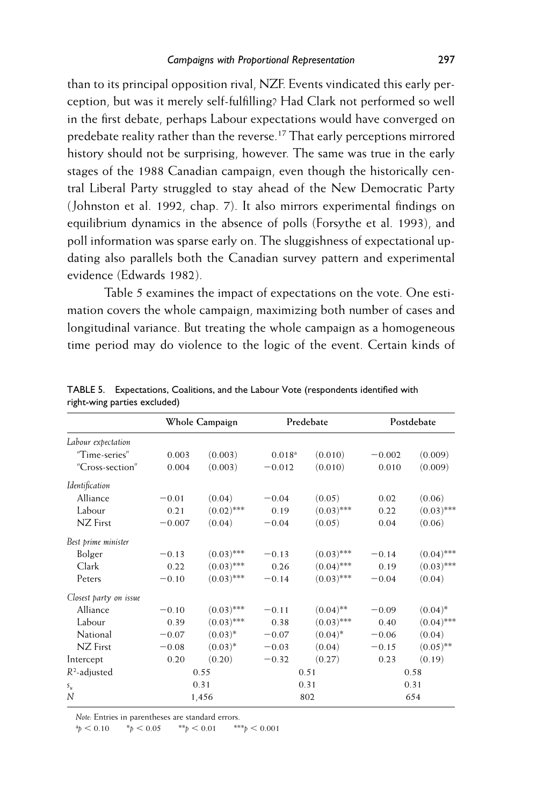than to its principal opposition rival, NZF. Events vindicated this early perception, but was it merely self-fulfilling? Had Clark not performed so well in the first debate, perhaps Labour expectations would have converged on predebate reality rather than the reverse.17 That early perceptions mirrored history should not be surprising, however. The same was true in the early stages of the 1988 Canadian campaign, even though the historically central Liberal Party struggled to stay ahead of the New Democratic Party (Johnston et al. 1992, chap. 7). It also mirrors experimental findings on equilibrium dynamics in the absence of polls (Forsythe et al. 1993), and poll information was sparse early on. The sluggishness of expectational updating also parallels both the Canadian survey pattern and experimental evidence (Edwards 1982).

Table 5 examines the impact of expectations on the vote. One estimation covers the whole campaign, maximizing both number of cases and longitudinal variance. But treating the whole campaign as a homogeneous time period may do violence to the logic of the event. Certain kinds of

|                        | Whole Campaign |              | Predebate            |              | Postdebate |              |  |
|------------------------|----------------|--------------|----------------------|--------------|------------|--------------|--|
| Labour expectation     |                |              |                      |              |            |              |  |
| "Time-series"          | 0.003          | (0.003)      | $0.018$ <sup>a</sup> | (0.010)      | $-0.002$   | (0.009)      |  |
| "Cross-section"        | 0.004          | (0.003)      | $-0.012$             | (0.010)      | 0.010      | (0.009)      |  |
| Identification         |                |              |                      |              |            |              |  |
| Alliance               | $-0.01$        | (0.04)       | $-0.04$              | (0.05)       | 0.02       | (0.06)       |  |
| Labour                 | 0.21           | $(0.02)$ *** | 0.19                 | $(0.03)$ *** | 0.22       | $(0.03)$ *** |  |
| NZ First               | $-0.007$       | (0.04)       | $-0.04$              | (0.05)       | 0.04       | (0.06)       |  |
| Best prime minister    |                |              |                      |              |            |              |  |
| Bolger                 | $-0.13$        | $(0.03)$ *** | $-0.13$              | $(0.03)$ *** | $-0.14$    | $(0.04)$ *** |  |
| Clark                  | 0.22           | $(0.03)$ *** | 0.26                 | $(0.04)$ *** | 0.19       | $(0.03)$ *** |  |
| Peters                 | $-0.10$        | $(0.03)$ *** | $-0.14$              | $(0.03)$ *** | $-0.04$    | (0.04)       |  |
| Closest party on issue |                |              |                      |              |            |              |  |
| Alliance               | $-0.10$        | $(0.03)$ *** | $-0.11$              | $(0.04)$ **  | $-0.09$    | $(0.04)^*$   |  |
| Labour                 | 0.39           | $(0.03)$ *** | 0.38                 | $(0.03)$ *** | 0.40       | $(0.04)$ *** |  |
| National               | $-0.07$        | $(0.03)^*$   | $-0.07$              | $(0.04)^*$   | $-0.06$    | (0.04)       |  |
| NZ First               | $-0.08$        | $(0.03)^*$   | $-0.03$              | (0.04)       | $-0.15$    | $(0.05)$ **  |  |
| Intercept              | 0.20           | (0.20)       | $-0.32$              | (0.27)       | 0.23       | (0.19)       |  |
| $R^2$ -adjusted        | 0.55           |              | 0.51                 |              | 0.58       |              |  |
| $S_{u}$                |                | 0.31         |                      | 0.31         |            | 0.31         |  |
| N                      | 1,456          |              | 802                  |              | 654        |              |  |

TABLE 5. Expectations, Coalitions, and the Labour Vote (respondents identified with right-wing parties excluded)

*Note:* Entries in parentheses are standard errors.

 $a_p < 0.10$   $\qquad \neq p < 0.05$   $\qquad \neq \neq p < 0.01$   $\qquad \neq \neq p < 0.001$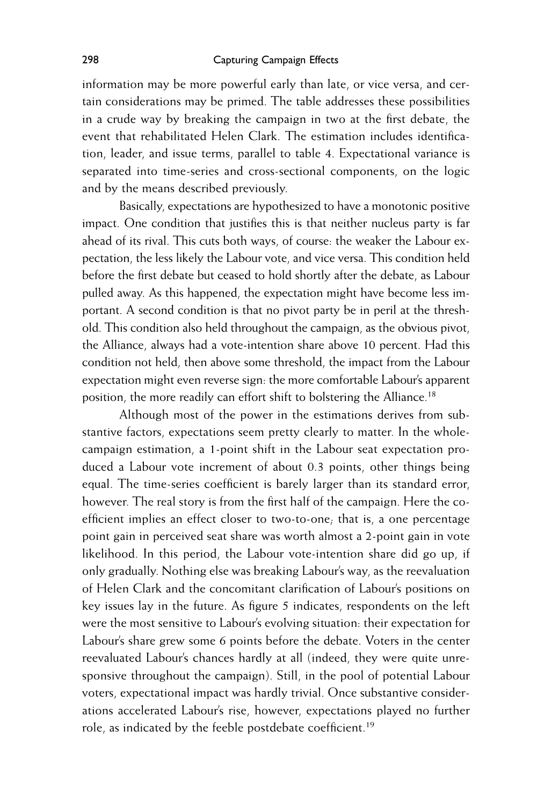### 298 Capturing Campaign Effects

information may be more powerful early than late, or vice versa, and certain considerations may be primed. The table addresses these possibilities in a crude way by breaking the campaign in two at the first debate, the event that rehabilitated Helen Clark. The estimation includes identification, leader, and issue terms, parallel to table 4. Expectational variance is separated into time-series and cross-sectional components, on the logic and by the means described previously.

Basically, expectations are hypothesized to have a monotonic positive impact. One condition that justifies this is that neither nucleus party is far ahead of its rival. This cuts both ways, of course: the weaker the Labour expectation, the less likely the Labour vote, and vice versa. This condition held before the first debate but ceased to hold shortly after the debate, as Labour pulled away. As this happened, the expectation might have become less important. A second condition is that no pivot party be in peril at the threshold. This condition also held throughout the campaign, as the obvious pivot, the Alliance, always had a vote-intention share above 10 percent. Had this condition not held, then above some threshold, the impact from the Labour expectation might even reverse sign: the more comfortable Labour's apparent position, the more readily can effort shift to bolstering the Alliance.<sup>18</sup>

Although most of the power in the estimations derives from substantive factors, expectations seem pretty clearly to matter. In the wholecampaign estimation, a 1-point shift in the Labour seat expectation produced a Labour vote increment of about 0.3 points, other things being equal. The time-series coefficient is barely larger than its standard error, however. The real story is from the first half of the campaign. Here the coefficient implies an effect closer to two-to-one; that is, a one percentage point gain in perceived seat share was worth almost a 2-point gain in vote likelihood. In this period, the Labour vote-intention share did go up, if only gradually. Nothing else was breaking Labour's way, as the reevaluation of Helen Clark and the concomitant clarification of Labour's positions on key issues lay in the future. As figure 5 indicates, respondents on the left were the most sensitive to Labour's evolving situation: their expectation for Labour's share grew some 6 points before the debate. Voters in the center reevaluated Labour's chances hardly at all (indeed, they were quite unresponsive throughout the campaign). Still, in the pool of potential Labour voters, expectational impact was hardly trivial. Once substantive considerations accelerated Labour's rise, however, expectations played no further role, as indicated by the feeble postdebate coefficient.<sup>19</sup>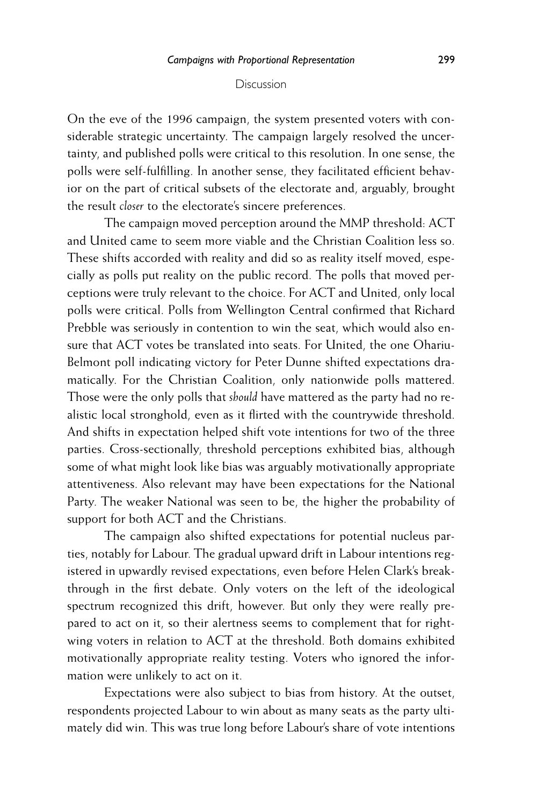**Discussion** 

On the eve of the 1996 campaign, the system presented voters with considerable strategic uncertainty. The campaign largely resolved the uncertainty, and published polls were critical to this resolution. In one sense, the polls were self-fulfilling. In another sense, they facilitated efficient behavior on the part of critical subsets of the electorate and, arguably, brought the result *closer* to the electorate's sincere preferences.

The campaign moved perception around the MMP threshold: ACT and United came to seem more viable and the Christian Coalition less so. These shifts accorded with reality and did so as reality itself moved, especially as polls put reality on the public record. The polls that moved perceptions were truly relevant to the choice. For ACT and United, only local polls were critical. Polls from Wellington Central confirmed that Richard Prebble was seriously in contention to win the seat, which would also ensure that ACT votes be translated into seats. For United, the one Ohariu-Belmont poll indicating victory for Peter Dunne shifted expectations dramatically. For the Christian Coalition, only nationwide polls mattered. Those were the only polls that *should* have mattered as the party had no realistic local stronghold, even as it Birted with the countrywide threshold. And shifts in expectation helped shift vote intentions for two of the three parties. Cross-sectionally, threshold perceptions exhibited bias, although some of what might look like bias was arguably motivationally appropriate attentiveness. Also relevant may have been expectations for the National Party. The weaker National was seen to be, the higher the probability of support for both ACT and the Christians.

The campaign also shifted expectations for potential nucleus parties, notably for Labour. The gradual upward drift in Labour intentions registered in upwardly revised expectations, even before Helen Clark's breakthrough in the first debate. Only voters on the left of the ideological spectrum recognized this drift, however. But only they were really prepared to act on it, so their alertness seems to complement that for rightwing voters in relation to ACT at the threshold. Both domains exhibited motivationally appropriate reality testing. Voters who ignored the information were unlikely to act on it.

Expectations were also subject to bias from history. At the outset, respondents projected Labour to win about as many seats as the party ultimately did win. This was true long before Labour's share of vote intentions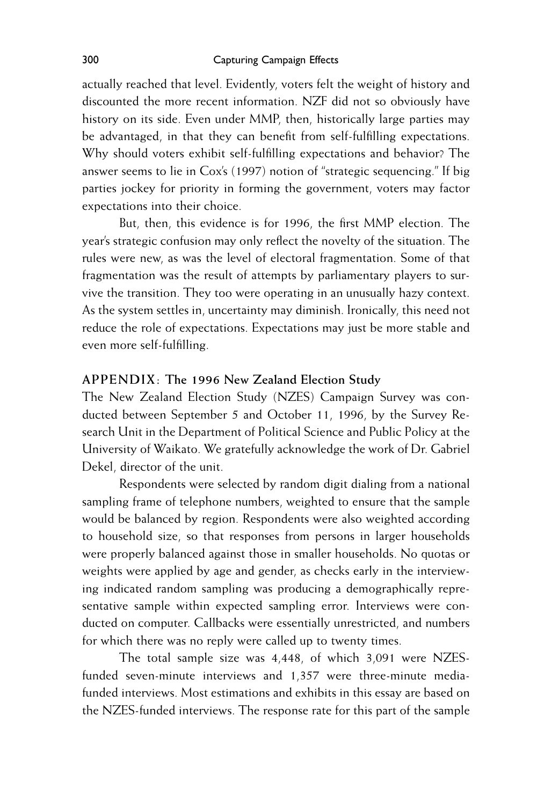## 300 Capturing Campaign Effects

actually reached that level. Evidently, voters felt the weight of history and discounted the more recent information. NZF did not so obviously have history on its side. Even under MMP, then, historically large parties may be advantaged, in that they can benefit from self-fulfilling expectations. Why should voters exhibit self-fulfilling expectations and behavior? The answer seems to lie in Cox's (1997) notion of "strategic sequencing." If big parties jockey for priority in forming the government, voters may factor expectations into their choice.

But, then, this evidence is for 1996, the first MMP election. The year's strategic confusion may only reflect the novelty of the situation. The rules were new, as was the level of electoral fragmentation. Some of that fragmentation was the result of attempts by parliamentary players to survive the transition. They too were operating in an unusually hazy context. As the system settles in, uncertainty may diminish. Ironically, this need not reduce the role of expectations. Expectations may just be more stable and even more self-fulfilling.

# **APPENDIX: The 1996 New Zealand Election Study**

The New Zealand Election Study (NZES) Campaign Survey was conducted between September 5 and October 11, 1996, by the Survey Research Unit in the Department of Political Science and Public Policy at the University of Waikato. We gratefully acknowledge the work of Dr. Gabriel Dekel, director of the unit.

Respondents were selected by random digit dialing from a national sampling frame of telephone numbers, weighted to ensure that the sample would be balanced by region. Respondents were also weighted according to household size, so that responses from persons in larger households were properly balanced against those in smaller households. No quotas or weights were applied by age and gender, as checks early in the interviewing indicated random sampling was producing a demographically representative sample within expected sampling error. Interviews were conducted on computer. Callbacks were essentially unrestricted, and numbers for which there was no reply were called up to twenty times.

The total sample size was 4,448, of which 3,091 were NZESfunded seven-minute interviews and 1,357 were three-minute mediafunded interviews. Most estimations and exhibits in this essay are based on the NZES-funded interviews. The response rate for this part of the sample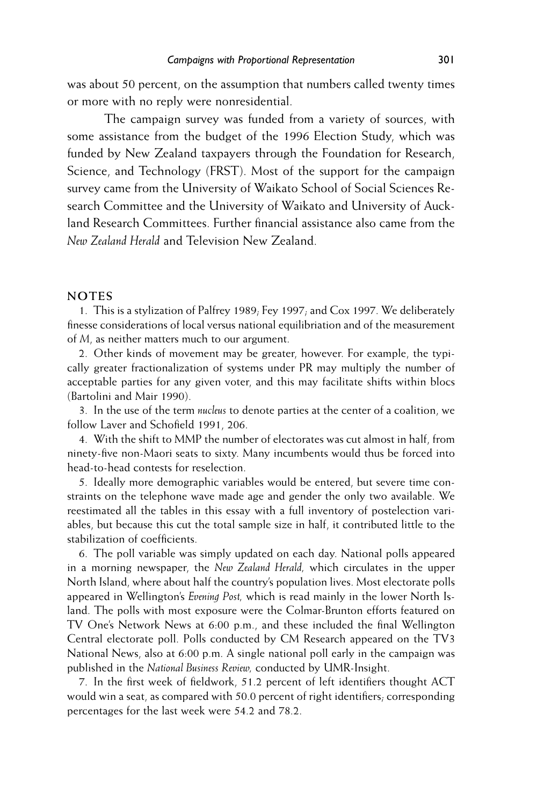was about 50 percent, on the assumption that numbers called twenty times or more with no reply were nonresidential.

The campaign survey was funded from a variety of sources, with some assistance from the budget of the 1996 Election Study, which was funded by New Zealand taxpayers through the Foundation for Research, Science, and Technology (FRST). Most of the support for the campaign survey came from the University of Waikato School of Social Sciences Research Committee and the University of Waikato and University of Auckland Research Committees. Further financial assistance also came from the *New Zealand Herald* and Television New Zealand.

#### **NOTES**

1. This is a stylization of Palfrey 1989; Fey 1997; and Cox 1997. We deliberately finesse considerations of local versus national equilibriation and of the measurement of *M*, as neither matters much to our argument.

2. Other kinds of movement may be greater, however. For example, the typically greater fractionalization of systems under PR may multiply the number of acceptable parties for any given voter, and this may facilitate shifts within blocs (Bartolini and Mair 1990).

3. In the use of the term *nucleus* to denote parties at the center of a coalition, we follow Laver and Schofield 1991, 206.

4. With the shift to MMP the number of electorates was cut almost in half, from ninety-five non-Maori seats to sixty. Many incumbents would thus be forced into head-to-head contests for reselection.

5. Ideally more demographic variables would be entered, but severe time constraints on the telephone wave made age and gender the only two available. We reestimated all the tables in this essay with a full inventory of postelection variables, but because this cut the total sample size in half, it contributed little to the stabilization of coefficients.

6. The poll variable was simply updated on each day. National polls appeared in a morning newspaper, the *New Zealand Herald,* which circulates in the upper North Island, where about half the country's population lives. Most electorate polls appeared in Wellington's *Evening Post,* which is read mainly in the lower North Island. The polls with most exposure were the Colmar-Brunton efforts featured on TV One's Network News at  $6.00$  p.m., and these included the final Wellington Central electorate poll. Polls conducted by CM Research appeared on the TV3 National News, also at 6:00 p.m. A single national poll early in the campaign was published in the *National Business Review,* conducted by UMR-Insight.

7. In the first week of fieldwork, 51.2 percent of left identifiers thought ACT would win a seat, as compared with 50.0 percent of right identifiers; corresponding percentages for the last week were 54.2 and 78.2.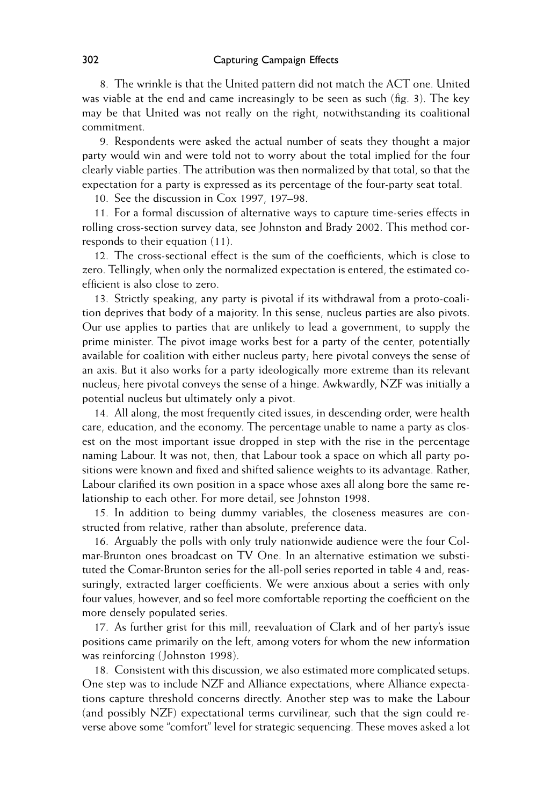8. The wrinkle is that the United pattern did not match the ACT one. United was viable at the end and came increasingly to be seen as such  $(fig. 3)$ . The key may be that United was not really on the right, notwithstanding its coalitional commitment.

9. Respondents were asked the actual number of seats they thought a major party would win and were told not to worry about the total implied for the four clearly viable parties. The attribution was then normalized by that total, so that the expectation for a party is expressed as its percentage of the four-party seat total.

10. See the discussion in Cox 1997, 197–98.

11. For a formal discussion of alternative ways to capture time-series effects in rolling cross-section survey data, see Johnston and Brady 2002. This method corresponds to their equation (11).

12. The cross-sectional effect is the sum of the coefficients, which is close to zero. Tellingly, when only the normalized expectation is entered, the estimated coefficient is also close to zero.

13. Strictly speaking, any party is pivotal if its withdrawal from a proto-coalition deprives that body of a majority. In this sense, nucleus parties are also pivots. Our use applies to parties that are unlikely to lead a government, to supply the prime minister. The pivot image works best for a party of the center, potentially available for coalition with either nucleus party; here pivotal conveys the sense of an axis. But it also works for a party ideologically more extreme than its relevant nucleus; here pivotal conveys the sense of a hinge. Awkwardly, NZF was initially a potential nucleus but ultimately only a pivot.

14. All along, the most frequently cited issues, in descending order, were health care, education, and the economy. The percentage unable to name a party as closest on the most important issue dropped in step with the rise in the percentage naming Labour. It was not, then, that Labour took a space on which all party positions were known and fixed and shifted salience weights to its advantage. Rather, Labour clarified its own position in a space whose axes all along bore the same relationship to each other. For more detail, see Johnston 1998.

15. In addition to being dummy variables, the closeness measures are constructed from relative, rather than absolute, preference data.

16. Arguably the polls with only truly nationwide audience were the four Colmar-Brunton ones broadcast on TV One. In an alternative estimation we substituted the Comar-Brunton series for the all-poll series reported in table 4 and, reassuringly, extracted larger coefficients. We were anxious about a series with only four values, however, and so feel more comfortable reporting the coefficient on the more densely populated series.

17. As further grist for this mill, reevaluation of Clark and of her party's issue positions came primarily on the left, among voters for whom the new information was reinforcing (Johnston 1998).

18. Consistent with this discussion, we also estimated more complicated setups. One step was to include NZF and Alliance expectations, where Alliance expectations capture threshold concerns directly. Another step was to make the Labour (and possibly NZF) expectational terms curvilinear, such that the sign could reverse above some "comfort" level for strategic sequencing. These moves asked a lot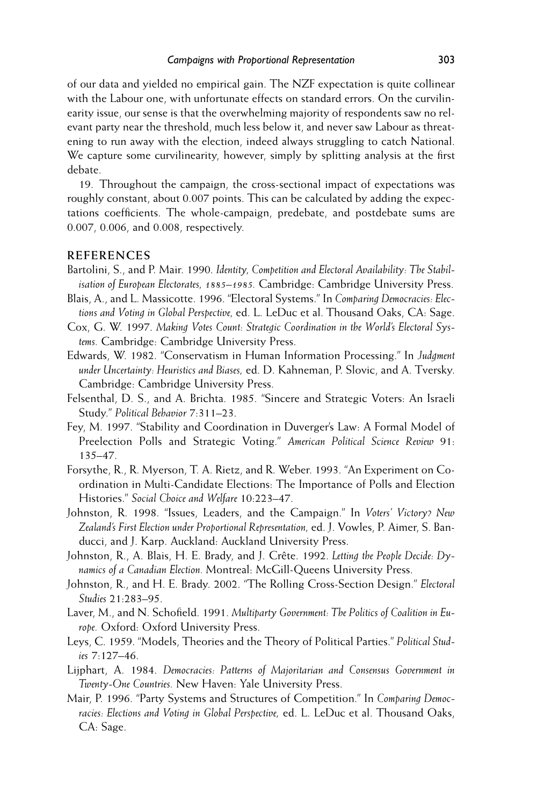of our data and yielded no empirical gain. The NZF expectation is quite collinear with the Labour one, with unfortunate effects on standard errors. On the curvilinearity issue, our sense is that the overwhelming majority of respondents saw no relevant party near the threshold, much less below it, and never saw Labour as threatening to run away with the election, indeed always struggling to catch National. We capture some curvilinearity, however, simply by splitting analysis at the first debate.

19. Throughout the campaign, the cross-sectional impact of expectations was roughly constant, about 0.007 points. This can be calculated by adding the expectations coefficients. The whole-campaign, predebate, and postdebate sums are 0.007, 0.006, and 0.008, respectively.

#### **REFERENCES**

- Bartolini, S., and P. Mair. 1990. *Identity, Competition and Electoral Availability: The Stabilisation of European Electorates, 1885–1985.* Cambridge: Cambridge University Press.
- Blais, A., and L. Massicotte. 1996. "Electoral Systems." In *Comparing Democracies: Elections and Voting in Global Perspective,* ed. L. LeDuc et al. Thousand Oaks, CA: Sage.
- Cox, G. W. 1997. *Making Votes Count: Strategic Coordination in the World's Electoral Systems.* Cambridge: Cambridge University Press.
- Edwards, W. 1982. "Conservatism in Human Information Processing." In *Judgment under Uncertainty: Heuristics and Biases,* ed. D. Kahneman, P. Slovic, and A. Tversky. Cambridge: Cambridge University Press.
- Felsenthal, D. S., and A. Brichta. 1985. "Sincere and Strategic Voters: An Israeli Study." *Political Behavior* 7:311–23.
- Fey, M. 1997. "Stability and Coordination in Duverger's Law: A Formal Model of Preelection Polls and Strategic Voting." *American Political Science Review* 91: 135–47.
- Forsythe, R., R. Myerson, T. A. Rietz, and R. Weber. 1993. "An Experiment on Coordination in Multi-Candidate Elections: The Importance of Polls and Election Histories." *Social Choice and Welfare* 10:223–47.
- Johnston, R. 1998. "Issues, Leaders, and the Campaign." In *Voters' Victory? New Zealand's First Election under Proportional Representation,* ed. J. Vowles, P. Aimer, S. Banducci, and J. Karp. Auckland: Auckland University Press.
- Johnston, R., A. Blais, H. E. Brady, and J. Crête. 1992. *Letting the People Decide: Dynamics of a Canadian Election.* Montreal: McGill-Queens University Press.
- Johnston, R., and H. E. Brady. 2002. "The Rolling Cross-Section Design." *Electoral Studies* 21:283–95.
- Laver, M., and N. Schofield. 1991. *Multiparty Government: The Politics of Coalition in Europe.* Oxford: Oxford University Press.
- Leys, C. 1959. "Models, Theories and the Theory of Political Parties." *Political Studies* 7:127–46.
- Lijphart, A. 1984. *Democracies: Patterns of Majoritarian and Consensus Government in Twenty-One Countries.* New Haven: Yale University Press.
- Mair, P. 1996. "Party Systems and Structures of Competition." In *Comparing Democracies: Elections and Voting in Global Perspective,* ed. L. LeDuc et al. Thousand Oaks, CA: Sage.